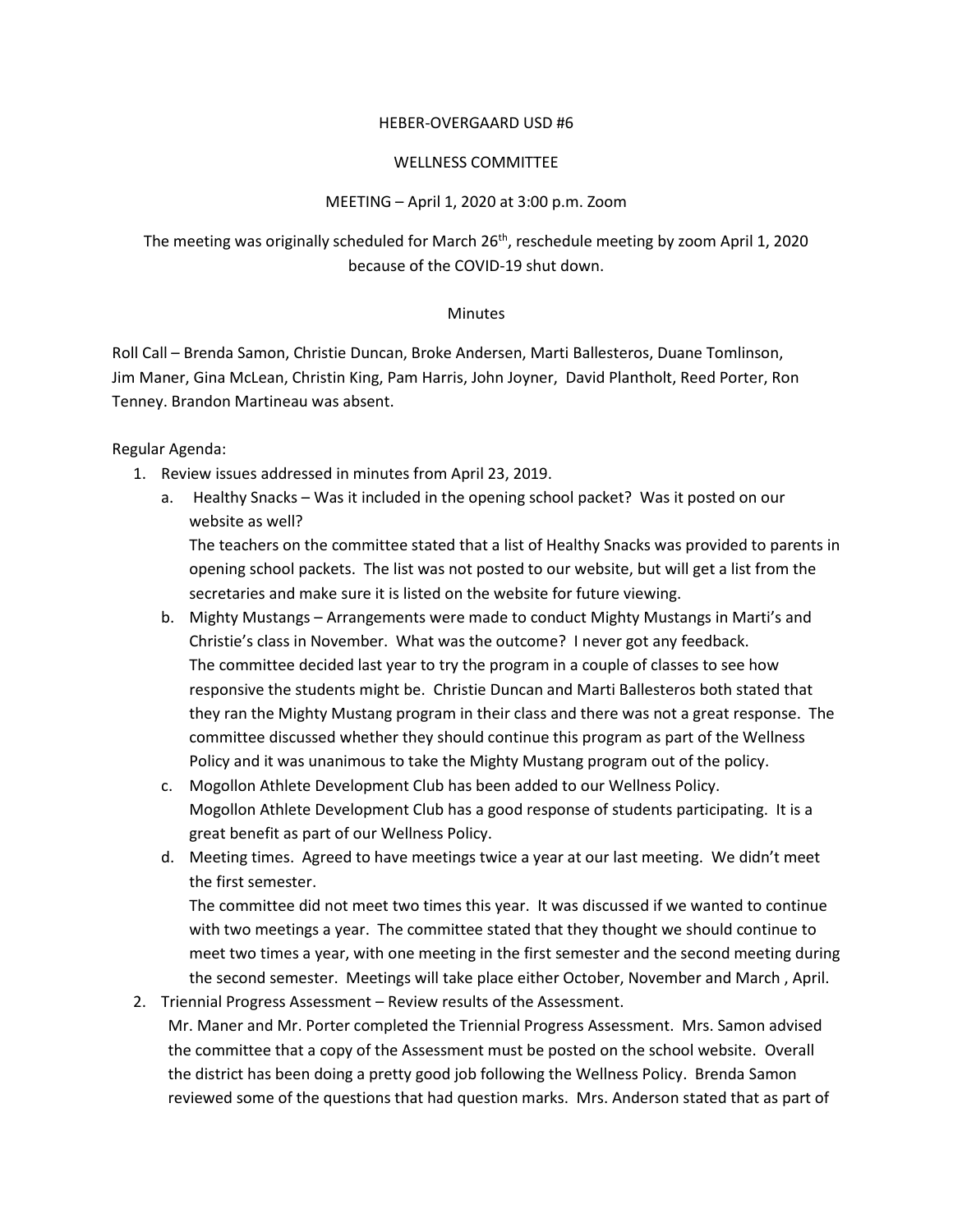## HEBER-OVERGAARD USD #6

## WELLNESS COMMITTEE

## MEETING – April 1, 2020 at 3:00 p.m. Zoom

The meeting was originally scheduled for March 26<sup>th</sup>, reschedule meeting by zoom April 1, 2020 because of the COVID-19 shut down.

## **Minutes**

Roll Call – Brenda Samon, Christie Duncan, Broke Andersen, Marti Ballesteros, Duane Tomlinson, Jim Maner, Gina McLean, Christin King, Pam Harris, John Joyner, David Plantholt, Reed Porter, Ron Tenney. Brandon Martineau was absent.

Regular Agenda:

- 1. Review issues addressed in minutes from April 23, 2019.
	- a. Healthy Snacks Was it included in the opening school packet? Was it posted on our website as well? The teachers on the committee stated that a list of Healthy Snacks was provided to parents in opening school packets. The list was not posted to our website, but will get a list from the
		- secretaries and make sure it is listed on the website for future viewing.
	- b. Mighty Mustangs Arrangements were made to conduct Mighty Mustangs in Marti's and Christie's class in November. What was the outcome? I never got any feedback. The committee decided last year to try the program in a couple of classes to see how responsive the students might be. Christie Duncan and Marti Ballesteros both stated that they ran the Mighty Mustang program in their class and there was not a great response. The committee discussed whether they should continue this program as part of the Wellness Policy and it was unanimous to take the Mighty Mustang program out of the policy.
	- c. Mogollon Athlete Development Club has been added to our Wellness Policy. Mogollon Athlete Development Club has a good response of students participating. It is a great benefit as part of our Wellness Policy.
	- d. Meeting times. Agreed to have meetings twice a year at our last meeting. We didn't meet the first semester.

The committee did not meet two times this year. It was discussed if we wanted to continue with two meetings a year. The committee stated that they thought we should continue to meet two times a year, with one meeting in the first semester and the second meeting during the second semester. Meetings will take place either October, November and March , April.

2. Triennial Progress Assessment – Review results of the Assessment.

Mr. Maner and Mr. Porter completed the Triennial Progress Assessment. Mrs. Samon advised the committee that a copy of the Assessment must be posted on the school website. Overall the district has been doing a pretty good job following the Wellness Policy. Brenda Samon reviewed some of the questions that had question marks. Mrs. Anderson stated that as part of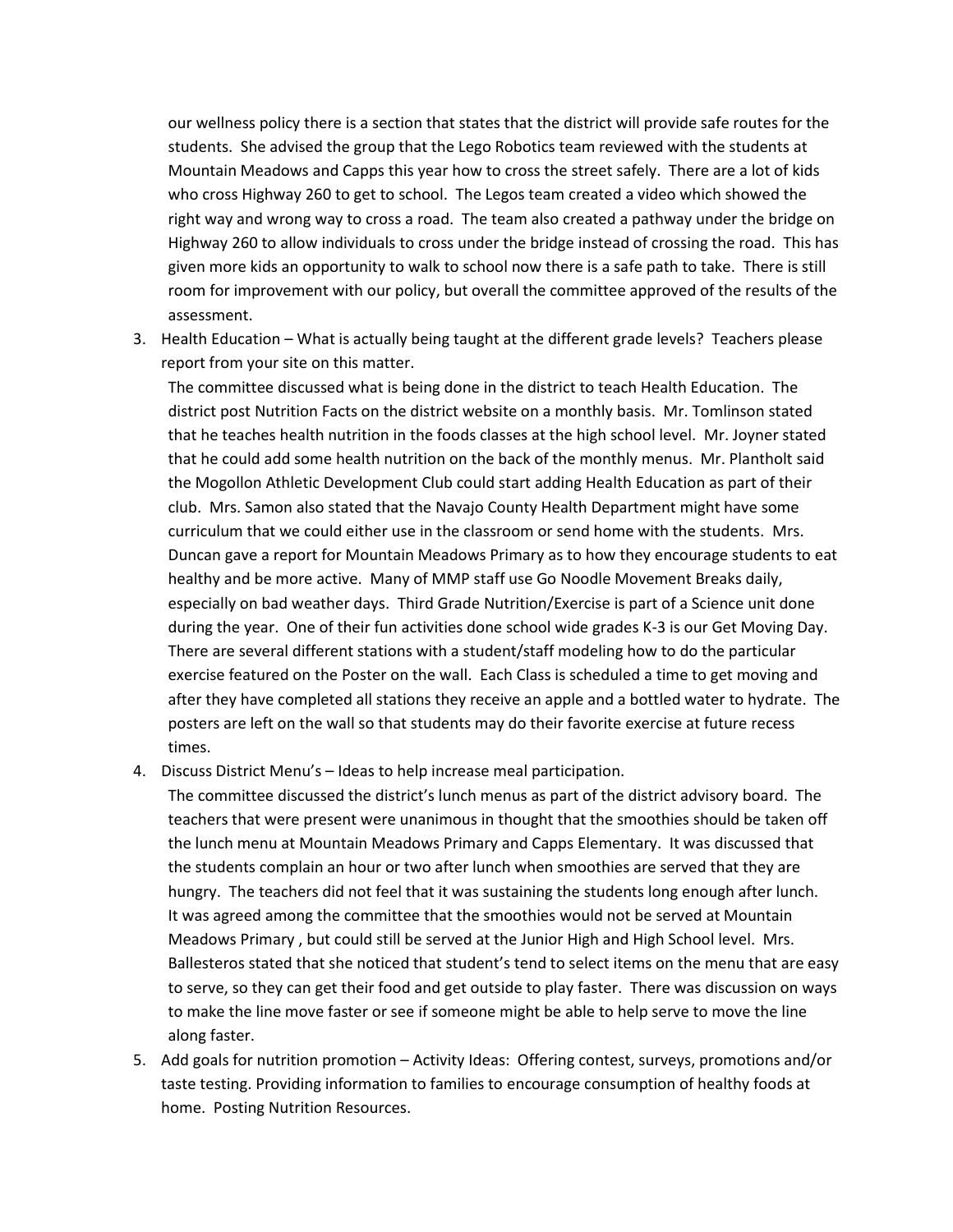our wellness policy there is a section that states that the district will provide safe routes for the students. She advised the group that the Lego Robotics team reviewed with the students at Mountain Meadows and Capps this year how to cross the street safely. There are a lot of kids who cross Highway 260 to get to school. The Legos team created a video which showed the right way and wrong way to cross a road. The team also created a pathway under the bridge on Highway 260 to allow individuals to cross under the bridge instead of crossing the road. This has given more kids an opportunity to walk to school now there is a safe path to take. There is still room for improvement with our policy, but overall the committee approved of the results of the assessment.

3. Health Education – What is actually being taught at the different grade levels? Teachers please report from your site on this matter.

The committee discussed what is being done in the district to teach Health Education. The district post Nutrition Facts on the district website on a monthly basis. Mr. Tomlinson stated that he teaches health nutrition in the foods classes at the high school level. Mr. Joyner stated that he could add some health nutrition on the back of the monthly menus. Mr. Plantholt said the Mogollon Athletic Development Club could start adding Health Education as part of their club. Mrs. Samon also stated that the Navajo County Health Department might have some curriculum that we could either use in the classroom or send home with the students. Mrs. Duncan gave a report for Mountain Meadows Primary as to how they encourage students to eat healthy and be more active. Many of MMP staff use Go Noodle Movement Breaks daily, especially on bad weather days. Third Grade Nutrition/Exercise is part of a Science unit done during the year. One of their fun activities done school wide grades K-3 is our Get Moving Day. There are several different stations with a student/staff modeling how to do the particular exercise featured on the Poster on the wall. Each Class is scheduled a time to get moving and after they have completed all stations they receive an apple and a bottled water to hydrate. The posters are left on the wall so that students may do their favorite exercise at future recess times.

4. Discuss District Menu's – Ideas to help increase meal participation.

The committee discussed the district's lunch menus as part of the district advisory board. The teachers that were present were unanimous in thought that the smoothies should be taken off the lunch menu at Mountain Meadows Primary and Capps Elementary. It was discussed that the students complain an hour or two after lunch when smoothies are served that they are hungry. The teachers did not feel that it was sustaining the students long enough after lunch. It was agreed among the committee that the smoothies would not be served at Mountain Meadows Primary , but could still be served at the Junior High and High School level. Mrs. Ballesteros stated that she noticed that student's tend to select items on the menu that are easy to serve, so they can get their food and get outside to play faster. There was discussion on ways to make the line move faster or see if someone might be able to help serve to move the line along faster.

5. Add goals for nutrition promotion – Activity Ideas: Offering contest, surveys, promotions and/or taste testing. Providing information to families to encourage consumption of healthy foods at home. Posting Nutrition Resources.